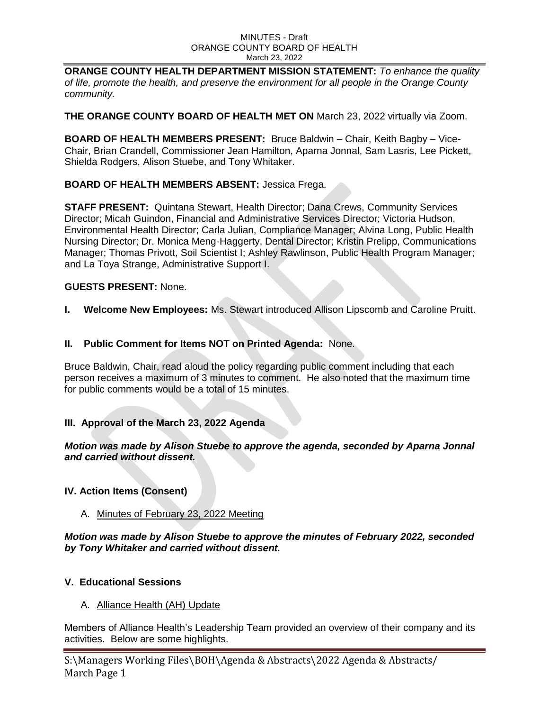**ORANGE COUNTY HEALTH DEPARTMENT MISSION STATEMENT:** *To enhance the quality of life, promote the health, and preserve the environment for all people in the Orange County community.*

**THE ORANGE COUNTY BOARD OF HEALTH MET ON** March 23, 2022 virtually via Zoom.

**BOARD OF HEALTH MEMBERS PRESENT:** Bruce Baldwin – Chair, Keith Bagby – Vice-Chair, Brian Crandell, Commissioner Jean Hamilton, Aparna Jonnal, Sam Lasris, Lee Pickett, Shielda Rodgers, Alison Stuebe, and Tony Whitaker.

## **BOARD OF HEALTH MEMBERS ABSENT:** Jessica Frega.

**STAFF PRESENT:** Quintana Stewart, Health Director; Dana Crews, Community Services Director; Micah Guindon, Financial and Administrative Services Director; Victoria Hudson, Environmental Health Director; Carla Julian, Compliance Manager; Alvina Long, Public Health Nursing Director; Dr. Monica Meng-Haggerty, Dental Director; Kristin Prelipp, Communications Manager; Thomas Privott, Soil Scientist I; Ashley Rawlinson, Public Health Program Manager; and La Toya Strange, Administrative Support I.

## **GUESTS PRESENT:** None.

**I. Welcome New Employees:** Ms. Stewart introduced Allison Lipscomb and Caroline Pruitt.

## **II. Public Comment for Items NOT on Printed Agenda:** None.

Bruce Baldwin, Chair, read aloud the policy regarding public comment including that each person receives a maximum of 3 minutes to comment. He also noted that the maximum time for public comments would be a total of 15 minutes.

# **III. Approval of the March 23, 2022 Agenda**

### *Motion was made by Alison Stuebe to approve the agenda, seconded by Aparna Jonnal and carried without dissent.*

# **IV. Action Items (Consent)**

A. Minutes of February 23, 2022 Meeting

*Motion was made by Alison Stuebe to approve the minutes of February 2022, seconded by Tony Whitaker and carried without dissent.* 

### **V. Educational Sessions**

A. Alliance Health (AH) Update

Members of Alliance Health's Leadership Team provided an overview of their company and its activities. Below are some highlights.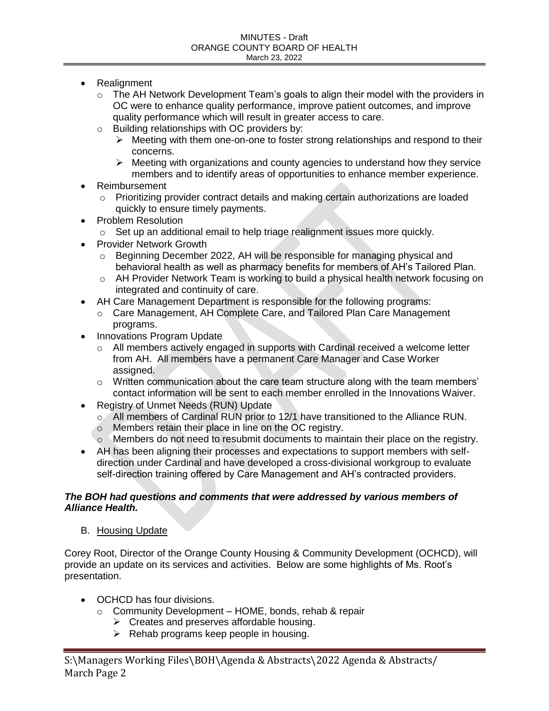- Realignment
	- $\circ$  The AH Network Development Team's goals to align their model with the providers in OC were to enhance quality performance, improve patient outcomes, and improve quality performance which will result in greater access to care.
	- o Building relationships with OC providers by:
		- $\triangleright$  Meeting with them one-on-one to foster strong relationships and respond to their concerns.
		- $\triangleright$  Meeting with organizations and county agencies to understand how they service members and to identify areas of opportunities to enhance member experience.
- Reimbursement
	- o Prioritizing provider contract details and making certain authorizations are loaded quickly to ensure timely payments.
- Problem Resolution
	- o Set up an additional email to help triage realignment issues more quickly.
- Provider Network Growth
	- o Beginning December 2022, AH will be responsible for managing physical and behavioral health as well as pharmacy benefits for members of AH's Tailored Plan.
	- o AH Provider Network Team is working to build a physical health network focusing on integrated and continuity of care.
- AH Care Management Department is responsible for the following programs:
	- o Care Management, AH Complete Care, and Tailored Plan Care Management programs.
- Innovations Program Update
	- $\circ$  All members actively engaged in supports with Cardinal received a welcome letter from AH. All members have a permanent Care Manager and Case Worker assigned.
	- $\circ$  Written communication about the care team structure along with the team members' contact information will be sent to each member enrolled in the Innovations Waiver.
- Registry of Unmet Needs (RUN) Update
	- o All members of Cardinal RUN prior to 12/1 have transitioned to the Alliance RUN.
	- o Members retain their place in line on the OC registry.
	- o Members do not need to resubmit documents to maintain their place on the registry.
- AH has been aligning their processes and expectations to support members with selfdirection under Cardinal and have developed a cross-divisional workgroup to evaluate self-direction training offered by Care Management and AH's contracted providers.

## *The BOH had questions and comments that were addressed by various members of Alliance Health.*

B. Housing Update

Corey Root, Director of the Orange County Housing & Community Development (OCHCD), will provide an update on its services and activities. Below are some highlights of Ms. Root's presentation.

- OCHCD has four divisions.
	- $\circ$  Community Development HOME, bonds, rehab & repair
		- $\triangleright$  Creates and preserves affordable housing.
		- $\triangleright$  Rehab programs keep people in housing.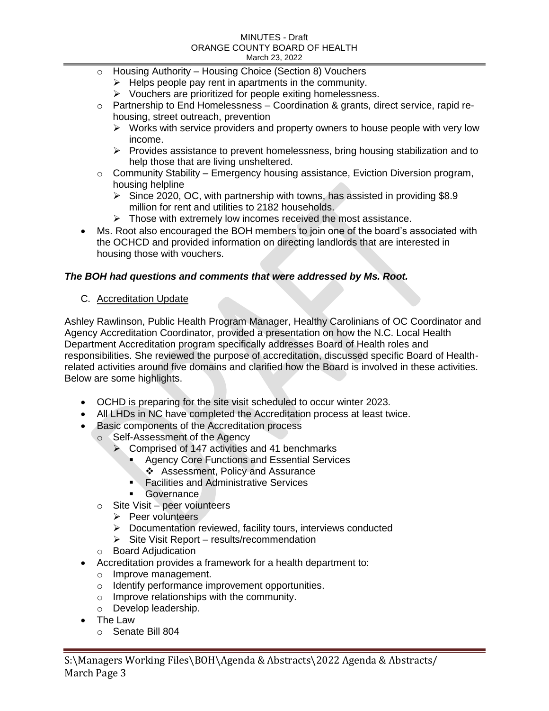- o Housing Authority Housing Choice (Section 8) Vouchers
	- $\triangleright$  Helps people pay rent in apartments in the community.
	- $\triangleright$  Vouchers are prioritized for people exiting homelessness.
- $\circ$  Partnership to End Homelessness Coordination & grants, direct service, rapid rehousing, street outreach, prevention
	- $\triangleright$  Works with service providers and property owners to house people with very low income.
	- $\triangleright$  Provides assistance to prevent homelessness, bring housing stabilization and to help those that are living unsheltered.
- $\circ$  Community Stability Emergency housing assistance, Eviction Diversion program, housing helpline
	- $\triangleright$  Since 2020, OC, with partnership with towns, has assisted in providing \$8.9 million for rent and utilities to 2182 households.
	- $\triangleright$  Those with extremely low incomes received the most assistance.
- Ms. Root also encouraged the BOH members to join one of the board's associated with the OCHCD and provided information on directing landlords that are interested in housing those with vouchers.

# *The BOH had questions and comments that were addressed by Ms. Root.*

# C. Accreditation Update

Ashley Rawlinson, Public Health Program Manager, Healthy Carolinians of OC Coordinator and Agency Accreditation Coordinator, provided a presentation on how the N.C. Local Health Department Accreditation program specifically addresses Board of Health roles and responsibilities. She reviewed the purpose of accreditation, discussed specific Board of Healthrelated activities around five domains and clarified how the Board is involved in these activities. Below are some highlights.

- OCHD is preparing for the site visit scheduled to occur winter 2023.
- All LHDs in NC have completed the Accreditation process at least twice.
- Basic components of the Accreditation process
	- o Self-Assessment of the Agency
		- $\triangleright$  Comprised of 147 activities and 41 benchmarks
			- Agency Core Functions and Essential Services
			- Assessment, Policy and Assurance
			- **Facilities and Administrative Services**
			- **Governance**
	- $\circ$  Site Visit peer voiunteers
		- $\triangleright$  Peer volunteers
		- $\triangleright$  Documentation reviewed, facility tours, interviews conducted
		- $\triangleright$  Site Visit Report results/recommendation
	- o Board Adjudication
- Accreditation provides a framework for a health department to:
	- o Improve management.
	- o Identify performance improvement opportunities.
	- o Improve relationships with the community.
	- o Develop leadership.
- The Law
	- o Senate Bill 804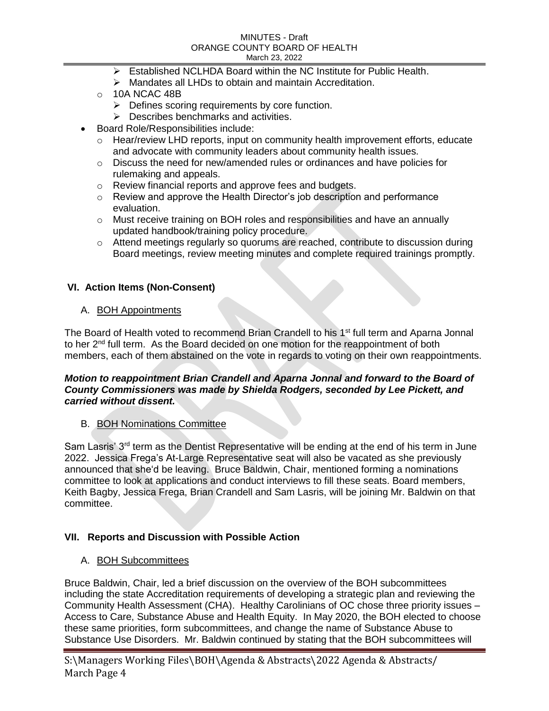- $\triangleright$  Established NCLHDA Board within the NC Institute for Public Health.
- $\triangleright$  Mandates all LHDs to obtain and maintain Accreditation.
- o 10A NCAC 48B
	- $\triangleright$  Defines scoring requirements by core function.
	- **▶ Describes benchmarks and activities.**
- Board Role/Responsibilities include:
	- $\circ$  Hear/review LHD reports, input on community health improvement efforts, educate and advocate with community leaders about community health issues.
	- o Discuss the need for new/amended rules or ordinances and have policies for rulemaking and appeals.
	- o Review financial reports and approve fees and budgets.
	- $\circ$  Review and approve the Health Director's job description and performance evaluation.
	- $\circ$  Must receive training on BOH roles and responsibilities and have an annually updated handbook/training policy procedure.
	- o Attend meetings regularly so quorums are reached, contribute to discussion during Board meetings, review meeting minutes and complete required trainings promptly.

# **VI. Action Items (Non-Consent)**

## A. **BOH Appointments**

The Board of Health voted to recommend Brian Crandell to his 1<sup>st</sup> full term and Aparna Jonnal to her  $2^{nd}$  full term. As the Board decided on one motion for the reappointment of both members, each of them abstained on the vote in regards to voting on their own reappointments.

#### *Motion to reappointment Brian Crandell and Aparna Jonnal and forward to the Board of County Commissioners was made by Shielda Rodgers, seconded by Lee Pickett, and carried without dissent.*

# B. BOH Nominations Committee

Sam Lasris' 3<sup>rd</sup> term as the Dentist Representative will be ending at the end of his term in June 2022. Jessica Frega's At-Large Representative seat will also be vacated as she previously announced that she'd be leaving. Bruce Baldwin, Chair, mentioned forming a nominations committee to look at applications and conduct interviews to fill these seats. Board members, Keith Bagby, Jessica Frega, Brian Crandell and Sam Lasris, will be joining Mr. Baldwin on that committee.

# **VII. Reports and Discussion with Possible Action**

# A. BOH Subcommittees

Bruce Baldwin, Chair, led a brief discussion on the overview of the BOH subcommittees including the state Accreditation requirements of developing a strategic plan and reviewing the Community Health Assessment (CHA). Healthy Carolinians of OC chose three priority issues – Access to Care, Substance Abuse and Health Equity. In May 2020, the BOH elected to choose these same priorities, form subcommittees, and change the name of Substance Abuse to Substance Use Disorders. Mr. Baldwin continued by stating that the BOH subcommittees will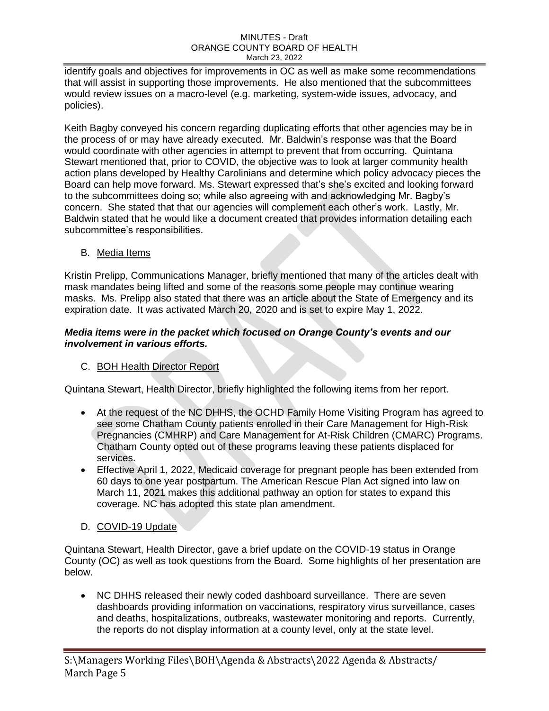identify goals and objectives for improvements in OC as well as make some recommendations that will assist in supporting those improvements. He also mentioned that the subcommittees would review issues on a macro-level (e.g. marketing, system-wide issues, advocacy, and policies).

Keith Bagby conveyed his concern regarding duplicating efforts that other agencies may be in the process of or may have already executed. Mr. Baldwin's response was that the Board would coordinate with other agencies in attempt to prevent that from occurring. Quintana Stewart mentioned that, prior to COVID, the objective was to look at larger community health action plans developed by Healthy Carolinians and determine which policy advocacy pieces the Board can help move forward. Ms. Stewart expressed that's she's excited and looking forward to the subcommittees doing so; while also agreeing with and acknowledging Mr. Bagby's concern. She stated that that our agencies will complement each other's work. Lastly, Mr. Baldwin stated that he would like a document created that provides information detailing each subcommittee's responsibilities.

B. Media Items

Kristin Prelipp, Communications Manager, briefly mentioned that many of the articles dealt with mask mandates being lifted and some of the reasons some people may continue wearing masks. Ms. Prelipp also stated that there was an article about the State of Emergency and its expiration date. It was activated March 20, 2020 and is set to expire May 1, 2022.

# *Media items were in the packet which focused on Orange County's events and our involvement in various efforts.*

# C. BOH Health Director Report

Quintana Stewart, Health Director, briefly highlighted the following items from her report.

- At the request of the NC DHHS, the OCHD Family Home Visiting Program has agreed to see some Chatham County patients enrolled in their Care Management for High-Risk Pregnancies (CMHRP) and Care Management for At-Risk Children (CMARC) Programs. Chatham County opted out of these programs leaving these patients displaced for services.
- Effective April 1, 2022, Medicaid coverage for pregnant people has been extended from 60 days to one year postpartum. The American Rescue Plan Act signed into law on March 11, 2021 makes this additional pathway an option for states to expand this coverage. NC has adopted this state plan amendment.
- D. COVID-19 Update

Quintana Stewart, Health Director, gave a brief update on the COVID-19 status in Orange County (OC) as well as took questions from the Board. Some highlights of her presentation are below.

 NC DHHS released their newly coded dashboard surveillance. There are seven dashboards providing information on vaccinations, respiratory virus surveillance, cases and deaths, hospitalizations, outbreaks, wastewater monitoring and reports. Currently, the reports do not display information at a county level, only at the state level.